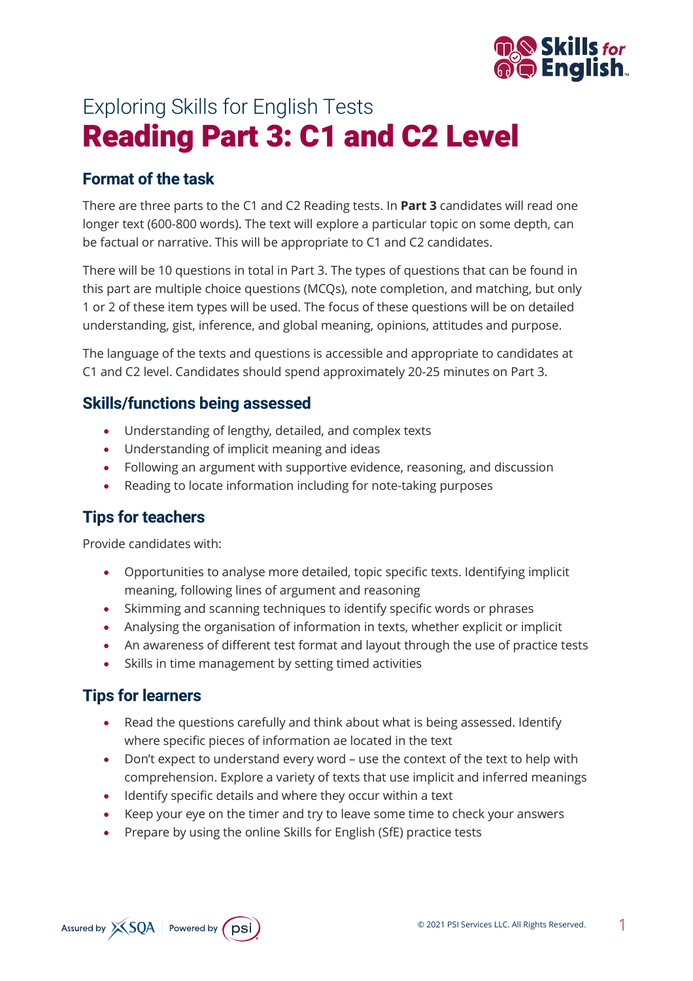

# Exploring Skills for English Tests Reading Part 3: C1 and C2 Level

## **Format of the task**

There are three parts to the C1 and C2 Reading tests. In **Part 3** candidates will read one longer text (600-800 words). The text will explore a particular topic on some depth, can be factual or narrative. This will be appropriate to C1 and C2 candidates.

There will be 10 questions in total in Part 3. The types of questions that can be found in this part are multiple choice questions (MCQs), note completion, and matching, but only 1 or 2 of these item types will be used. The focus of these questions will be on detailed understanding, gist, inference, and global meaning, opinions, attitudes and purpose.

The language of the texts and questions is accessible and appropriate to candidates at C1 and C2 level. Candidates should spend approximately 20-25 minutes on Part 3.

## **Skills/functions being assessed**

- Understanding of lengthy, detailed, and complex texts
- Understanding of implicit meaning and ideas
- Following an argument with supportive evidence, reasoning, and discussion
- Reading to locate information including for note-taking purposes

## **Tips for teachers**

Provide candidates with:

- Opportunities to analyse more detailed, topic specific texts. Identifying implicit meaning, following lines of argument and reasoning
- Skimming and scanning techniques to identify specific words or phrases
- Analysing the organisation of information in texts, whether explicit or implicit
- An awareness of different test format and layout through the use of practice tests
- Skills in time management by setting timed activities

## **Tips for learners**

- Read the questions carefully and think about what is being assessed. Identify where specific pieces of information ae located in the text
- Don't expect to understand every word use the context of the text to help with comprehension. Explore a variety of texts that use implicit and inferred meanings
- Identify specific details and where they occur within a text
- Keep your eye on the timer and try to leave some time to check your answers
- Prepare by using the online Skills for English (SfE) practice tests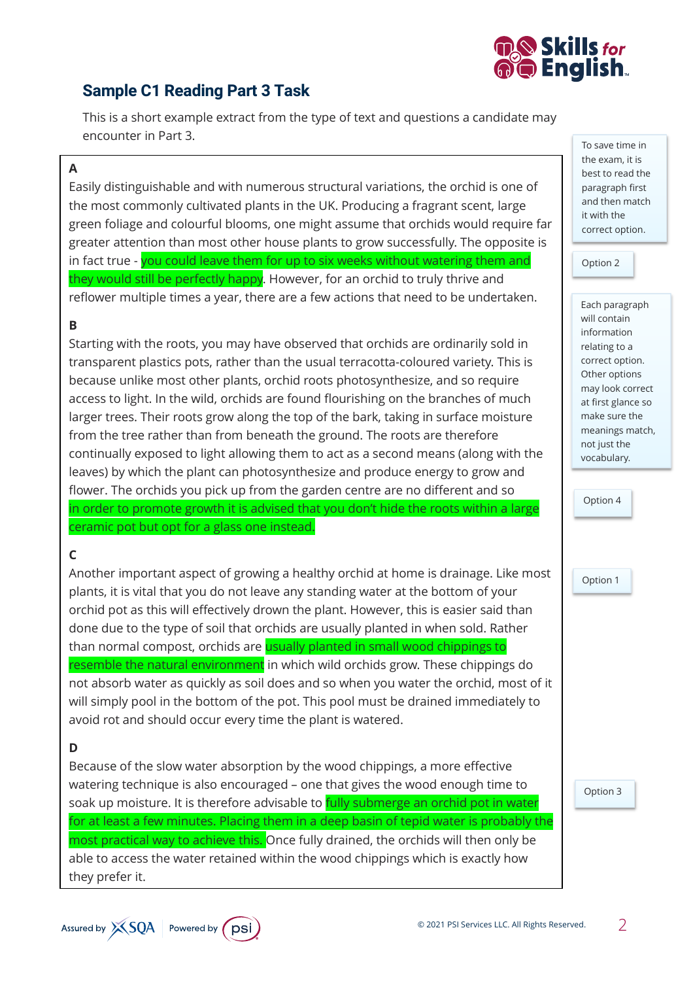

## **Sample C1 Reading Part 3 Task**

This is a short example extract from the type of text and questions a candidate may encounter in Part 3.

### **A**

Easily distinguishable and with numerous structural variations, the orchid is one of the most commonly cultivated plants in the UK. Producing a fragrant scent, large green foliage and colourful blooms, one might assume that orchids would require far greater attention than most other house plants to grow successfully. The opposite is in fact true - you could leave them for up to six weeks without watering them and they would still be perfectly happy. However, for an orchid to truly thrive and reflower multiple times a year, there are a few actions that need to be undertaken.

### **B**

Starting with the roots, you may have observed that orchids are ordinarily sold in transparent plastics pots, rather than the usual terracotta-coloured variety. This is because unlike most other plants, orchid roots photosynthesize, and so require access to light. In the wild, orchids are found flourishing on the branches of much larger trees. Their roots grow along the top of the bark, taking in surface moisture from the tree rather than from beneath the ground. The roots are therefore continually exposed to light allowing them to act as a second means (along with the leaves) by which the plant can photosynthesize and produce energy to grow and flower. The orchids you pick up from the garden centre are no different and so in order to promote growth it is advised that you don't hide the roots within a large ceramic pot but opt for a glass one instead.

### **C**

Another important aspect of growing a healthy orchid at home is drainage. Like most plants, it is vital that you do not leave any standing water at the bottom of your orchid pot as this will effectively drown the plant. However, this is easier said than done due to the type of soil that orchids are usually planted in when sold. Rather than normal compost, orchids are usually planted in small wood chippings to resemble the natural environment in which wild orchids grow. These chippings do not absorb water as quickly as soil does and so when you water the orchid, most of it will simply pool in the bottom of the pot. This pool must be drained immediately to avoid rot and should occur every time the plant is watered.

### **D**

Because of the slow water absorption by the wood chippings, a more effective watering technique is also encouraged – one that gives the wood enough time to soak up moisture. It is therefore advisable to fully submerge an orchid pot in water for at least a few minutes. Placing them in a deep basin of tepid water is probably the most practical way to achieve this. Once fully drained, the orchids will then only be able to access the water retained within the wood chippings which is exactly how they prefer it.

To save time in the exam, it is best to read the paragraph first and then match it with the correct option.

Option 2

Each paragraph will contain information relating to a correct option. Other options may look correct at first glance so make sure the meanings match, not just the vocabulary.

Option 4

Option 1

Option 3